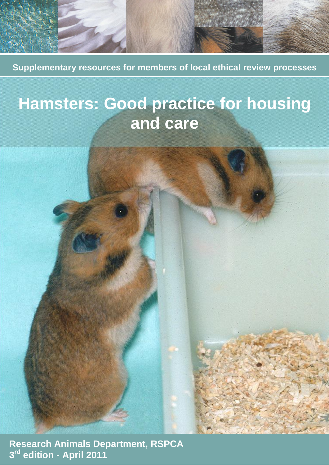**Supplementary resources for members of local ethical review processes**

# **Hamsters: Good practice for housing and care**

 **Research Animals Department, RSPCA 3 rd edition - April 2011**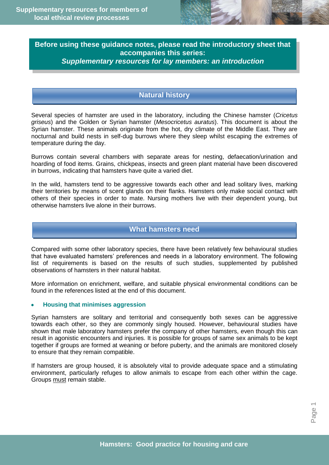

# **Before using these guidance notes, please read the introductory sheet that accompanies this series:**  *Supplementary resources for lay members: an introduction*

# **Natural history**

Several species of hamster are used in the laboratory, including the Chinese hamster (*Cricetus griseus*) and the Golden or Syrian hamster (*Mesocricetus auratus*). This document is about the Syrian hamster. These animals originate from the hot, dry climate of the Middle East. They are nocturnal and build nests in self-dug burrows where they sleep whilst escaping the extremes of temperature during the day.

Burrows contain several chambers with separate areas for nesting, defaecation/urination and hoarding of food items. Grains, chickpeas, insects and green plant material have been discovered in burrows, indicating that hamsters have quite a varied diet.

In the wild, hamsters tend to be aggressive towards each other and lead solitary lives, marking their territories by means of scent glands on their flanks. Hamsters only make social contact with others of their species in order to mate. Nursing mothers live with their dependent young, but otherwise hamsters live alone in their burrows.

# **What hamsters need**

Compared with some other laboratory species, there have been relatively few behavioural studies that have evaluated hamsters' preferences and needs in a laboratory environment. The following list of requirements is based on the results of such studies, supplemented by published observations of hamsters in their natural habitat.

More information on enrichment, welfare, and suitable physical environmental conditions can be found in the references listed at the end of this document.

## **Housing that minimises aggression**

Syrian hamsters are solitary and territorial and consequently both sexes can be aggressive towards each other, so they are commonly singly housed. However, behavioural studies have shown that male laboratory hamsters prefer the company of other hamsters, even though this can result in agonistic encounters and injuries. It is possible for groups of same sex animals to be kept together if groups are formed at weaning or before puberty, and the animals are monitored closely to ensure that they remain compatible.

If hamsters are group housed, it is absolutely vital to provide adequate space and a stimulating environment, particularly refuges to allow animals to escape from each other within the cage. Groups must remain stable.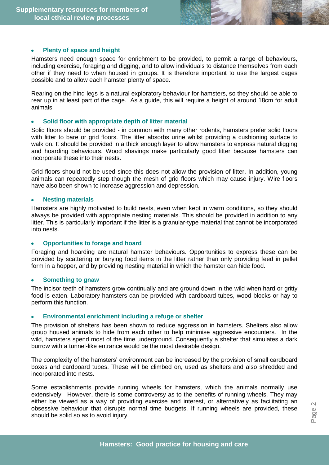#### **Plenty of space and height**

Hamsters need enough space for enrichment to be provided, to permit a range of behaviours, including exercise, foraging and digging, and to allow individuals to distance themselves from each other if they need to when housed in groups. It is therefore important to use the largest cages possible and to allow each hamster plenty of space.

Rearing on the hind legs is a natural exploratory behaviour for hamsters, so they should be able to rear up in at least part of the cage. As a guide, this will require a height of around 18cm for adult animals.

#### **Solid floor with appropriate depth of litter material**

Solid floors should be provided - in common with many other rodents, hamsters prefer solid floors with litter to bare or grid floors. The litter absorbs urine whilst providing a cushioning surface to walk on. It should be provided in a thick enough layer to allow hamsters to express natural digging and hoarding behaviours. Wood shavings make particularly good litter because hamsters can incorporate these into their nests.

Grid floors should not be used since this does not allow the provision of litter. In addition, young animals can repeatedly step though the mesh of grid floors which may cause injury. Wire floors have also been shown to increase aggression and depression.

#### **Nesting materials**

Hamsters are highly motivated to build nests, even when kept in warm conditions, so they should always be provided with appropriate nesting materials. This should be provided in addition to any litter. This is particularly important if the litter is a granular-type material that cannot be incorporated into nests.

#### **Opportunities to forage and hoard**

Foraging and hoarding are natural hamster behaviours. Opportunities to express these can be provided by scattering or burying food items in the litter rather than only providing feed in pellet form in a hopper, and by providing nesting material in which the hamster can hide food.

#### **Something to gnaw**

The incisor teeth of hamsters grow continually and are ground down in the wild when hard or gritty food is eaten. Laboratory hamsters can be provided with cardboard tubes, wood blocks or hay to perform this function.

#### **Environmental enrichment including a refuge or shelter**

The provision of shelters has been shown to reduce aggression in hamsters. Shelters also allow group housed animals to hide from each other to help minimise aggressive encounters. In the wild, hamsters spend most of the time underground. Consequently a shelter that simulates a dark burrow with a tunnel-like entrance would be the most desirable design.

The complexity of the hamsters' environment can be increased by the provision of small cardboard boxes and cardboard tubes. These will be climbed on, used as shelters and also shredded and incorporated into nests.

Some establishments provide running wheels for hamsters, which the animals normally use extensively. However, there is some controversy as to the benefits of running wheels. They may either be viewed as a way of providing exercise and interest, or alternatively as facilitating an obsessive behaviour that disrupts normal time budgets. If running wheels are provided, these should be solid so as to avoid injury.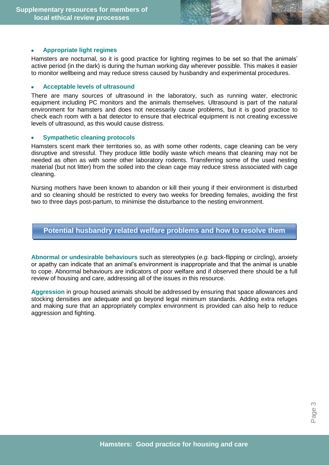

#### **Appropriate light regimes**

Hamsters are nocturnal, so it is good practice for lighting regimes to be set so that the animals' active period (in the dark) is during the human working day wherever possible. This makes it easier to monitor wellbeing and may reduce stress caused by husbandry and experimental procedures.

#### **Acceptable levels of ultrasound**

There are many sources of ultrasound in the laboratory, such as running water, electronic equipment including PC monitors and the animals themselves. Ultrasound is part of the natural environment for hamsters and does not necessarily cause problems, but it is good practice to check each room with a bat detector to ensure that electrical equipment is not creating excessive levels of ultrasound, as this would cause distress.

#### **Sympathetic cleaning protocols**

Hamsters scent mark their territories so, as with some other rodents, cage cleaning can be very disruptive and stressful. They produce little bodily waste which means that cleaning may not be needed as often as with some other laboratory rodents. Transferring some of the used nesting material (but not litter) from the soiled into the clean cage may reduce stress associated with cage cleaning.

Nursing mothers have been known to abandon or kill their young if their environment is disturbed and so cleaning should be restricted to every two weeks for breeding females, avoiding the first two to three days post-partum, to minimise the disturbance to the nesting environment.

## **Potential husbandry related welfare problems and how to resolve them**

**Abnormal or undesirable behaviours** such as stereotypies (*e.g.* back-flipping or circling), anxiety or apathy can indicate that an animal's environment is inappropriate and that the animal is unable to cope. Abnormal behaviours are indicators of poor welfare and if observed there should be a full review of housing and care, addressing all of the issues in this resource.

**Aggression** in group housed animals should be addressed by ensuring that space allowances and stocking densities are adequate and go beyond legal minimum standards. Adding extra refuges and making sure that an appropriately complex environment is provided can also help to reduce aggression and fighting.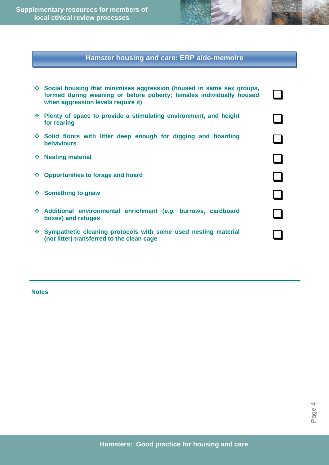**Supplementary resources for members of local ethical review processes**

# **Hamster housing and care: ERP aide-memoire**

| ❖ Social housing that minimises aggression (housed in same sex groups,<br>formed during weaning or before puberty; females individually housed<br>when aggression levels require it) |  |
|--------------------------------------------------------------------------------------------------------------------------------------------------------------------------------------|--|
| ❖ Plenty of space to provide a stimulating environment, and height<br>for rearing                                                                                                    |  |
| Solid floors with litter deep enough for digging and hoarding<br><b>behaviours</b>                                                                                                   |  |
| ❖ Nesting material                                                                                                                                                                   |  |
| ❖ Opportunities to forage and hoard                                                                                                                                                  |  |
| ❖ Something to gnaw                                                                                                                                                                  |  |
| * Additional environmental enrichment (e.g. burrows, cardboard<br>boxes) and refuges                                                                                                 |  |
| ❖ Sympathetic cleaning protocols with some used nesting material<br>(not litter) transferred to the clean cage                                                                       |  |

**Notes**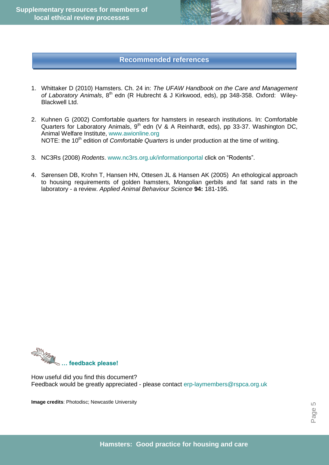# **Recommended references**

- 1. Whittaker D (2010) Hamsters. Ch. 24 in: *The UFAW Handbook on the Care and Management*  of Laboratory Animals, 8<sup>th</sup> edn (R Hubrecht & J Kirkwood, eds), pp 348-358. Oxford: Wiley-Blackwell Ltd.
- 2. Kuhnen G (2002) Comfortable quarters for hamsters in research institutions. In: Comfortable Quarters for Laboratory Animals, 9<sup>th</sup> edn (V & A Reinhardt, eds), pp 33-37. Washington DC, Animal Welfare Institute, [www.awionline.org](http://www.awionline.org/) NOTE: the 10<sup>th</sup> edition of *Comfortable Quarters* is under production at the time of writing.
- 3. NC3Rs (2008) *Rodents*. [www.nc3rs.org.uk/informationportal](http://www.nc3rs.org.uk/informationportal) click on "Rodents".
- 4. Sørensen DB, Krohn T, Hansen HN, Ottesen JL & Hansen AK (2005) An ethological approach to housing requirements of golden hamsters, Mongolian gerbils and fat sand rats in the laboratory - a review. *Applied Animal Behaviour Science* **94:** 181-195.



How useful did you find this document? Feedback would be greatly appreciated - please contact [erp-laymembers@rspca.org.uk](mailto:erp-laymembers@rspca.org.uk)

**Image credits**: Photodisc; Newcastle University